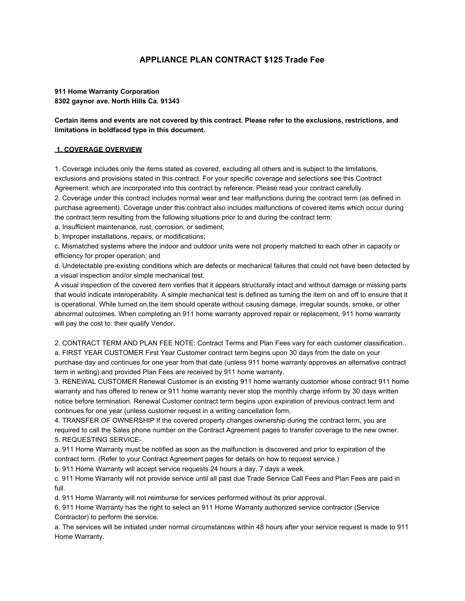## **APPLIANCE PLAN CONTRACT \$125 Trade Fee**

## **911 Home Warranty Corporation 8302 gaynor ave. North Hills Ca. 91343**

**Certain items and events are not covered by this contract. Please refer to the exclusions, restrictions, and limitations in boldfaced type in this document.**

## **1. COVERAGE OVERVIEW**

1. Coverage includes only the items stated as covered, excluding all others and is subject to the limitations, exclusions and provisions stated in this contract. For your specific coverage and selections see this Contract Agreement. which are incorporated into this contract by reference. Please read your contract carefully.

2. Coverage under this contract includes normal wear and tear malfunctions during the contract term (as defined in purchase agreement). Coverage under this contract also includes malfunctions of covered items which occur during the contract term resulting from the following situations prior to and during the contract term:

a. Insufficient maintenance, rust, corrosion, or sediment;

b. Improper installations, repairs, or modifications;

c. Mismatched systems where the indoor and outdoor units were not properly matched to each other in capacity or efficiency for proper operation; and

d. Undetectable pre-existing conditions which are defects or mechanical failures that could not have been detected by a visual inspection and/or simple mechanical test.

A visual inspection of the covered item verifies that it appears structurally intact and without damage or missing parts that would indicate interoperability. A simple mechanical test is defined as turning the item on and off to ensure that it is operational. While turned on,the item should operate without causing damage, irregular sounds, smoke, or other abnormal outcomes. When completing an 911 home warranty approved repair or replacement, 911 home warranty will pay the cost to: their qualify Vendor.

2. CONTRACT TERM AND PLAN FEE NOTE: Contract Terms and Plan Fees vary for each customer classification.. a. FIRST YEAR CUSTOMER First Year Customer contract term begins upon 30 days from the date on your purchase day and continues for one year from that date (unless 911 home warranty approves an alternative contract term in writing) and provided Plan Fees are received by 911 home warranty.

3. RENEWAL CUSTOMER Renewal Customer is an existing 911 home warranty customer whose contract 911 home warranty and has offered to renew or 911 home warranty never stop the monthly charge inform by 30 days written notice before termination. Renewal Customer contract term begins upon expiration of previous contract term and continues for one year (unless customer request in a writing cancellation form,

4. TRANSFER OF OWNERSHIP If the covered property changes ownership during the contract term, you are required to call the Sales phone number on the Contract Agreement pages to transfer coverage to the new owner. 5. REQUESTING SERVICE-

a. 911 Home Warranty must be notified as soon as the malfunction is discovered and prior to expiration of the contract term. (Refer to your Contract Agreement pages for details on how to request service.)

b. 911 Home Warranty will accept service requests 24 hours a day, 7 days a week.

c. 911 Home Warranty will not provide service until all past due Trade Service Call Fees and Plan Fees are paid in full.

d. 911 Home Warranty will not reimburse for services performed without its prior approval.

6. 911 Home Warranty has the right to select an 911 Home Warranty authorized service contractor (Service Contractor) to perform the service.

a. The services will be initiated under normal circumstances within 48 hours after your service request is made to 911 Home Warranty.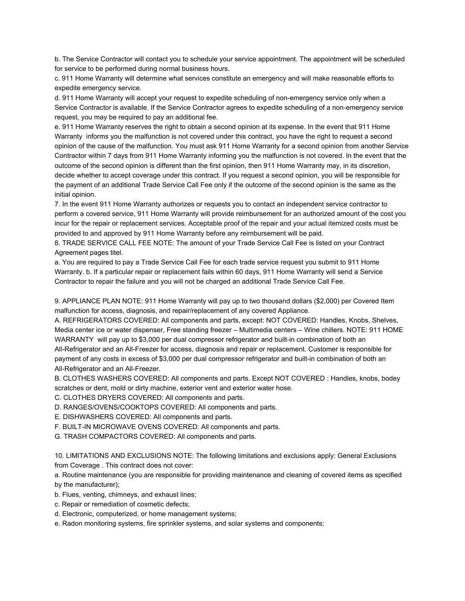b. The Service Contractor will contact you to schedule your service appointment. The appointment will be scheduled for service to be performed during normal business hours.

c. 911 Home Warranty will determine what services constitute an emergency and will make reasonable efforts to expedite emergency service.

d. 911 Home Warranty will accept your request to expedite scheduling of non-emergency service only when a Service Contractor is available. If the Service Contractor agrees to expedite scheduling of a non-emergency service request, you may be required to pay an additional fee.

e. 911 Home Warranty reserves the right to obtain a second opinion at its expense. In the event that 911 Home Warranty informs you the malfunction is not covered under this contract, you have the right to request a second opinion of the cause of the malfunction. You must ask 911 Home Warranty for a second opinion from another Service Contractor within 7 days from 911 Home Warranty informing you the malfunction is not covered. In the event that the outcome of the second opinion is different than the first opinion, then 911 Home Warranty may, in its discretion, decide whether to accept coverage under this contract. If you request a second opinion, you will be responsible for the payment of an additional Trade Service Call Fee only if the outcome of the second opinion is the same as the initial opinion.

7. In the event 911 Home Warranty authorizes or requests you to contact an independent service contractor to perform a covered service, 911 Home Warranty will provide reimbursement for an authorized amount of the cost you incur for the repair or replacement services. Acceptable proof of the repair and your actual itemized costs must be provided to and approved by 911 Home Warranty before any reimbursement will be paid.

8. TRADE SERVICE CALL FEE NOTE: The amount of your Trade Service Call Fee is listed on your Contract Agreement pages titel.

a. You are required to pay a Trade Service Call Fee for each trade service request you submit to 911 Home Warranty. b. If a particular repair or replacement fails within 60 days, 911 Home Warranty will send a Service Contractor to repair the failure and you will not be charged an additional Trade Service Call Fee.

9. APPLIANCE PLAN NOTE: 911 Home Warranty will pay up to two thousand dollars (\$2,000) per Covered Item malfunction for access, diagnosis, and repair/replacement of any covered Appliance.

A. REFRIGERATORS COVERED: All components and parts, except: NOT COVERED: Handles, Knobs, Shelves, Media center ice or water dispenser, Free standing freezer – Multimedia centers – Wine chillers. NOTE: 911 HOME WARRANTY will pay up to \$3,000 per dual compressor refrigerator and built-in combination of both an All-Refrigerator and an All-Freezer for access, diagnosis and repair or replacement. Customer is responsible for payment of any costs in excess of \$3,000 per dual compressor refrigerator and built-in combination of both an All-Refrigerator and an All-Freezer.

B. CLOTHES WASHERS COVERED: All components and parts. Except NOT COVERED : Handles, knobs, bodey scratches or dent, mold or dirty machine, exterior vent and exterior water hose.

C. CLOTHES DRYERS COVERED: All components and parts.

D. RANGES/OVENS/COOKTOPS COVERED: All components and parts.

E. DISHWASHERS COVERED: All components and parts.

F. BUILT-IN MICROWAVE OVENS COVERED: All components and parts.

G. TRASH COMPACTORS COVERED: All components and parts.

10. LIMITATIONS AND EXCLUSIONS NOTE: The following limitations and exclusions apply: General Exclusions from Coverage . This contract does not cover:

a. Routine maintenance (you are responsible for providing maintenance and cleaning of covered items as specified by the manufacturer);

- b. Flues, venting, chimneys, and exhaust lines;
- c. Repair or remediation of cosmetic defects;
- d. Electronic, computerized, or home management systems;
- e. Radon monitoring systems, fire sprinkler systems, and solar systems and components;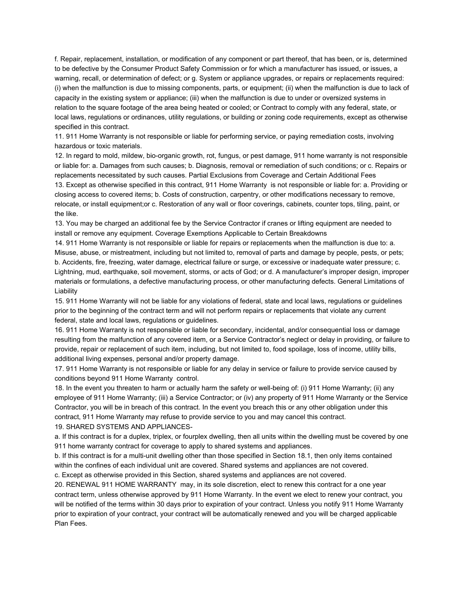f. Repair, replacement, installation, or modification of any component or part thereof, that has been, or is, determined to be defective by the Consumer Product Safety Commission or for which a manufacturer has issued, or issues, a warning, recall, or determination of defect; or g. System or appliance upgrades, or repairs or replacements required: (i) when the malfunction is due to missing components, parts, or equipment; (ii) when the malfunction is due to lack of capacity in the existing system or appliance; (iii) when the malfunction is due to under or oversized systems in relation to the square footage of the area being heated or cooled; or Contract to comply with any federal, state, or local laws, regulations or ordinances, utility regulations, or building or zoning code requirements, except as otherwise specified in this contract.

11. 911 Home Warranty is not responsible or liable for performing service, or paying remediation costs, involving hazardous or toxic materials.

12. In regard to mold, mildew, bio-organic growth, rot, fungus, or pest damage, 911 home warranty is not responsible or liable for: a. Damages from such causes; b. Diagnosis, removal or remediation of such conditions; or c. Repairs or replacements necessitated by such causes. Partial Exclusions from Coverage and Certain Additional Fees

13. Except as otherwise specified in this contract, 911 Home Warranty is not responsible or liable for: a. Providing or closing access to covered items; b. Costs of construction, carpentry, or other modifications necessary to remove, relocate, or install equipment;or c. Restoration of any wall or floor coverings, cabinets, counter tops, tiling, paint, or the like.

13. You may be charged an additional fee by the Service Contractor if cranes or lifting equipment are needed to install or remove any equipment. Coverage Exemptions Applicable to Certain Breakdowns

14. 911 Home Warranty is not responsible or liable for repairs or replacements when the malfunction is due to: a. Misuse, abuse, or mistreatment, including but not limited to, removal of parts and damage by people, pests, or pets; b. Accidents, fire, freezing, water damage, electrical failure or surge, or excessive or inadequate water pressure; c. Lightning, mud, earthquake, soil movement, storms, or acts of God; or d. A manufacturer's improper design, improper materials or formulations, a defective manufacturing process, or other manufacturing defects. General Limitations of Liability

15. 911 Home Warranty will not be liable for any violations of federal, state and local laws, regulations or guidelines prior to the beginning of the contract term and will not perform repairs or replacements that violate any current federal, state and local laws, regulations or guidelines.

16. 911 Home Warranty is not responsible or liable for secondary, incidental, and/or consequential loss or damage resulting from the malfunction of any covered item, or a Service Contractor's neglect or delay in providing, or failure to provide, repair or replacement of such item, including, but not limited to, food spoilage, loss of income, utility bills, additional living expenses, personal and/or property damage.

17. 911 Home Warranty is not responsible or liable for any delay in service or failure to provide service caused by conditions beyond 911 Home Warranty control.

18. In the event you threaten to harm or actually harm the safety or well-being of: (i) 911 Home Warranty; (ii) any employee of 911 Home Warranty; (iii) a Service Contractor; or (iv) any property of 911 Home Warranty or the Service Contractor, you will be in breach of this contract. In the event you breach this or any other obligation under this contract, 911 Home Warranty may refuse to provide service to you and may cancel this contract. 19. SHARED SYSTEMS AND APPLIANCES-

a. If this contract is for a duplex, triplex, or fourplex dwelling, then all units within the dwelling must be covered by one 911 home warranty contract for coverage to apply to shared systems and appliances.

b. If this contract is for a multi-unit dwelling other than those specified in Section 18.1, then only items contained within the confines of each individual unit are covered. Shared systems and appliances are not covered.

c. Except as otherwise provided in this Section, shared systems and appliances are not covered.

20. RENEWAL 911 HOME WARRANTY may, in its sole discretion, elect to renew this contract for a one year contract term, unless otherwise approved by 911 Home Warranty. In the event we elect to renew your contract, you will be notified of the terms within 30 days prior to expiration of your contract. Unless you notify 911 Home Warranty prior to expiration of your contract, your contract will be automatically renewed and you will be charged applicable Plan Fees.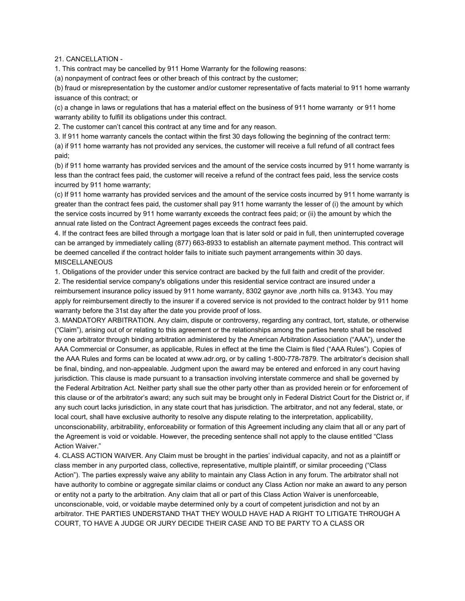21. CANCELLATION -

1. This contract may be cancelled by 911 Home Warranty for the following reasons:

(a) nonpayment of contract fees or other breach of this contract by the customer;

(b) fraud or misrepresentation by the customer and/or customer representative of facts material to 911 home warranty issuance of this contract; or

(c) a change in laws or regulations that has a material effect on the business of 911 home warranty or 911 home warranty ability to fulfill its obligations under this contract.

2. The customer can't cancel this contract at any time and for any reason.

3. If 911 home warranty cancels the contact within the first 30 days following the beginning of the contract term:

(a) if 911 home warranty has not provided any services, the customer will receive a full refund of all contract fees paid;

(b) if 911 home warranty has provided services and the amount of the service costs incurred by 911 home warranty is less than the contract fees paid, the customer will receive a refund of the contract fees paid, less the service costs incurred by 911 home warranty;

(c) If 911 home warranty has provided services and the amount of the service costs incurred by 911 home warranty is greater than the contract fees paid, the customer shall pay 911 home warranty the lesser of (i) the amount by which the service costs incurred by 911 home warranty exceeds the contract fees paid; or (ii) the amount by which the annual rate listed on the Contract Agreement pages exceeds the contract fees paid.

4. If the contract fees are billed through a mortgage loan that is later sold or paid in full, then uninterrupted coverage can be arranged by immediately calling (877) 663-8933 to establish an alternate payment method. This contract will be deemed cancelled if the contract holder fails to initiate such payment arrangements within 30 days. **MISCELLANEOUS** 

1. Obligations of the provider under this service contract are backed by the full faith and credit of the provider.

2. The residential service company's obligations under this residential service contract are insured under a reimbursement insurance policy issued by 911 home warranty, 8302 gaynor ave ,north hills ca. 91343. You may apply for reimbursement directly to the insurer if a covered service is not provided to the contract holder by 911 home warranty before the 31st day after the date you provide proof of loss.

3. MANDATORY ARBITRATION. Any claim, dispute or controversy, regarding any contract, tort, statute, or otherwise ("Claim"), arising out of or relating to this agreement or the relationships among the parties hereto shall be resolved by one arbitrator through binding arbitration administered by the American Arbitration Association ("AAA"), under the AAA Commercial or Consumer, as applicable, Rules in effect at the time the Claim is filed ("AAA Rules"). Copies of the AAA Rules and forms can be located at www.adr.org, or by calling 1-800-778-7879. The arbitrator's decision shall be final, binding, and non-appealable. Judgment upon the award may be entered and enforced in any court having jurisdiction. This clause is made pursuant to a transaction involving interstate commerce and shall be governed by the Federal Arbitration Act. Neither party shall sue the other party other than as provided herein or for enforcement of this clause or of the arbitrator's award; any such suit may be brought only in Federal District Court for the District or, if any such court lacks jurisdiction, in any state court that has jurisdiction. The arbitrator, and not any federal, state, or local court, shall have exclusive authority to resolve any dispute relating to the interpretation, applicability, unconscionability, arbitrability, enforceability or formation of this Agreement including any claim that all or any part of the Agreement is void or voidable. However, the preceding sentence shall not apply to the clause entitled "Class Action Waiver."

4. CLASS ACTION WAIVER. Any Claim must be brought in the parties' individual capacity, and not as a plaintiff or class member in any purported class, collective, representative, multiple plaintiff, or similar proceeding ("Class Action"). The parties expressly waive any ability to maintain any Class Action in any forum. The arbitrator shall not have authority to combine or aggregate similar claims or conduct any Class Action nor make an award to any person or entity not a party to the arbitration. Any claim that all or part of this Class Action Waiver is unenforceable, unconscionable, void, or voidable maybe determined only by a court of competent jurisdiction and not by an arbitrator. THE PARTIES UNDERSTAND THAT THEY WOULD HAVE HAD A RIGHT TO LITIGATE THROUGH A COURT, TO HAVE A JUDGE OR JURY DECIDE THEIR CASE AND TO BE PARTY TO A CLASS OR